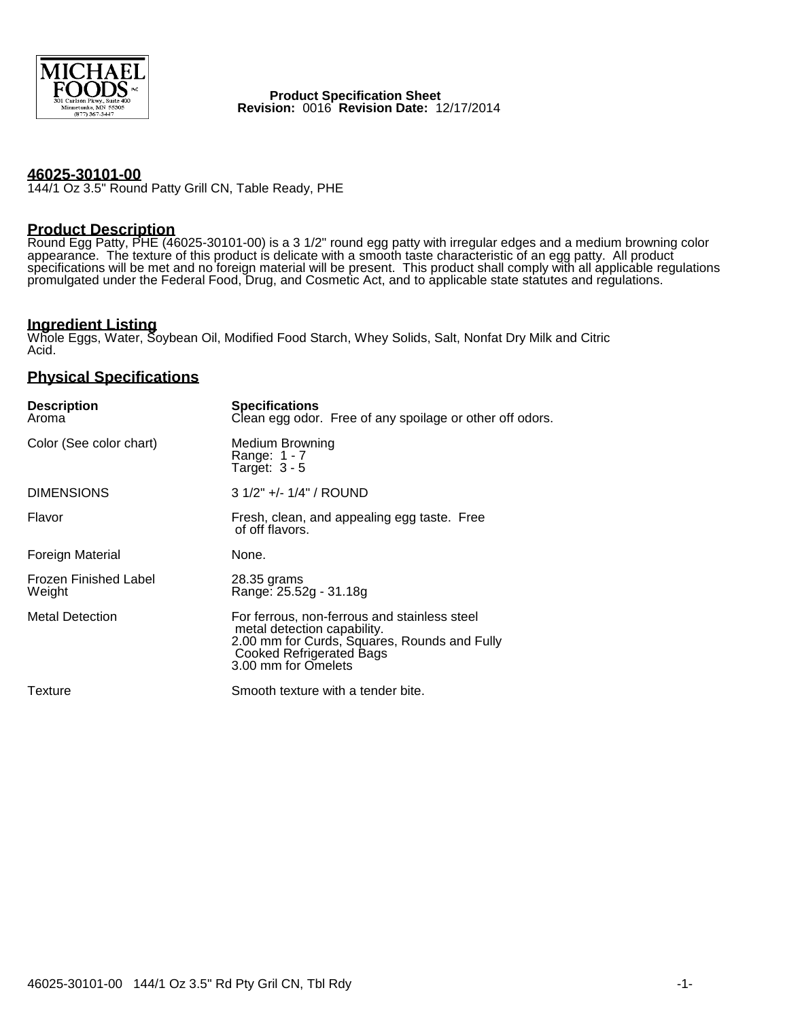

 **Product Specification Sheet Revision:** 0016 **Revision Date:** 12/17/2014

#### **46025-30101-00**

144/1 Oz 3.5" Round Patty Grill CN, Table Ready, PHE

## **Product Description**

Round Egg Patty, PHE (46025-30101-00) is a 3 1/2" round egg patty with irregular edges and a medium browning color appearance. The texture of this product is delicate with a smooth taste characteristic of an egg patty. All product specifications will be met and no foreign material will be present. This product shall comply with all applicable regulations promulgated under the Federal Food, Drug, and Cosmetic Act, and to applicable state statutes and regulations.

# **Ingredient Listing**

Whole Eggs, Water, Soybean Oil, Modified Food Starch, Whey Solids, Salt, Nonfat Dry Milk and Citric Acid.

## **Physical Specifications**

| <b>Description</b><br>Aroma            | <b>Specifications</b><br>Clean egg odor. Free of any spoilage or other off odors.                                                                                                     |
|----------------------------------------|---------------------------------------------------------------------------------------------------------------------------------------------------------------------------------------|
| Color (See color chart)                | Medium Browning<br>Range: 1 - 7<br>Target: $3 - 5$                                                                                                                                    |
| <b>DIMENSIONS</b>                      | $31/2" +/- 1/4" / ROUND$                                                                                                                                                              |
| Flavor                                 | Fresh, clean, and appealing egg taste. Free<br>of off flavors.                                                                                                                        |
| Foreign Material                       | None.                                                                                                                                                                                 |
| <b>Frozen Finished Label</b><br>Weight | 28.35 grams<br>Range: 25.52g - 31.18g                                                                                                                                                 |
| <b>Metal Detection</b>                 | For ferrous, non-ferrous and stainless steel<br>metal detection capability.<br>2.00 mm for Curds, Squares, Rounds and Fully<br><b>Cooked Refrigerated Bags</b><br>3.00 mm for Omelets |
| Texture                                | Smooth texture with a tender bite.                                                                                                                                                    |
|                                        |                                                                                                                                                                                       |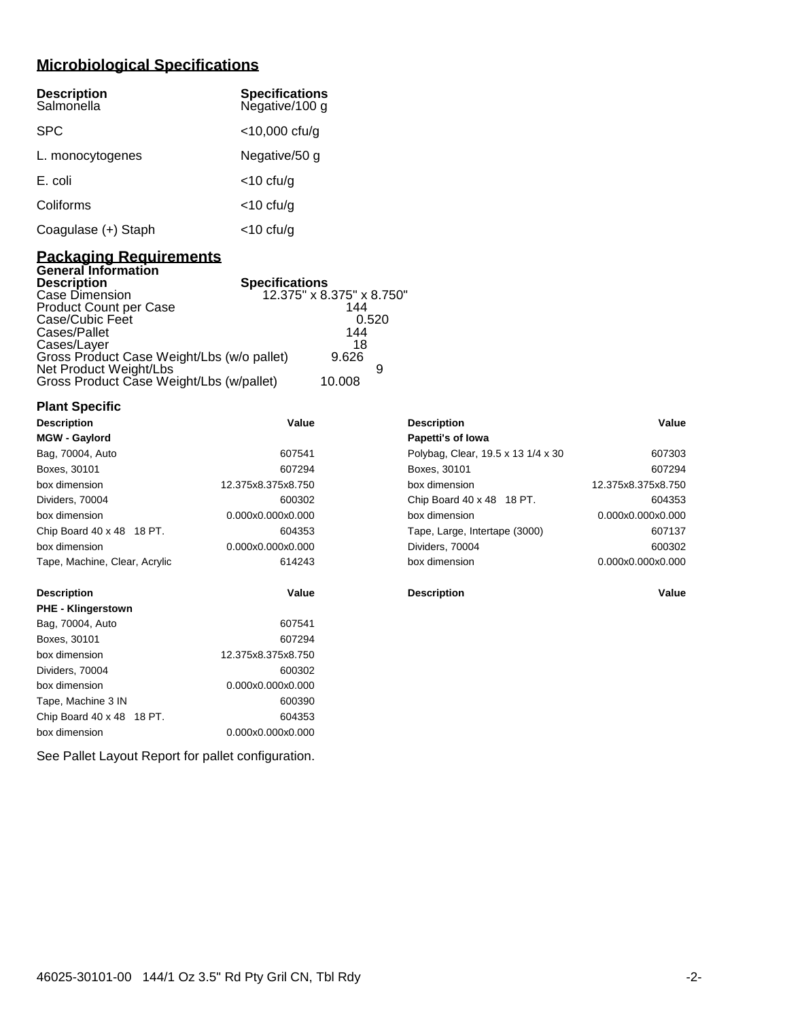# **Microbiological Specifications**

| <b>Description</b><br>Salmonella | <b>Specifications</b><br>Negative/100 g |
|----------------------------------|-----------------------------------------|
| <b>SPC</b>                       | $<$ 10,000 cfu/g                        |
| L. monocytogenes                 | Negative/50 g                           |
| E. coli                          | $<$ 10 cfu/g                            |
| Coliforms                        | $<$ 10 cfu/g                            |
| Coagulase (+) Staph              | <10 cfu/g                               |

## **Packaging Requirements General Information**

| <b>Description</b><br><b>Specifications</b> |                           |
|---------------------------------------------|---------------------------|
| Case Dimension                              | 12.375" x 8.375" x 8.750" |
| <b>Product Count per Case</b>               | 144                       |
| Case/Cubic Feet                             | 0.520                     |
| Cases/Pallet                                | 144                       |
| Cases/Layer                                 | 18                        |
| Gross Product Case Weight/Lbs (w/o pallet)  | 9.626                     |
| Net Product Weight/Lbs                      |                           |
| Gross Product Case Weight/Lbs (w/pallet)    | 10.008                    |

| <b>Plant Specific</b> |  |
|-----------------------|--|
|-----------------------|--|

| <b>Description</b>            | Value              | <b>Description</b>                 | Value              |
|-------------------------------|--------------------|------------------------------------|--------------------|
| <b>MGW - Gaylord</b>          |                    | Papetti's of Iowa                  |                    |
| Bag, 70004, Auto              | 607541             | Polybag, Clear, 19.5 x 13 1/4 x 30 | 607303             |
| Boxes, 30101                  | 607294             | Boxes, 30101                       | 607294             |
| box dimension                 | 12.375x8.375x8.750 | box dimension                      | 12.375x8.375x8.750 |
| Dividers, 70004               | 600302             | Chip Board 40 x 48 18 PT.          | 604353             |
| box dimension                 | 0.000x0.000x0.000  | box dimension                      | 0.000x0.000x0.000  |
| Chip Board 40 x 48 18 PT.     | 604353             | Tape, Large, Intertape (3000)      | 607137             |
| box dimension                 | 0.000x0.000x0.000  | Dividers, 70004                    | 600302             |
| Tape, Machine, Clear, Acrylic | 614243             | box dimension                      | 0.000x0.000x0.000  |
| <b>Description</b>            | Value              | <b>Description</b>                 | Value              |
| <b>PHE - Klingerstown</b>     |                    |                                    |                    |
| Bag, 70004, Auto              | 607541             |                                    |                    |
| Boxes, 30101                  | 607294             |                                    |                    |
| box dimension                 | 12.375x8.375x8.750 |                                    |                    |
| Dividers, 70004               | 600302             |                                    |                    |
| box dimension                 | 0.000x0.000x0.000  |                                    |                    |
| Tape, Machine 3 IN            | 600390             |                                    |                    |
| Chip Board 40 x 48 18 PT.     | 604353             |                                    |                    |
| box dimension                 | 0.000x0.000x0.000  |                                    |                    |

See Pallet Layout Report for pallet configuration.

| <b>Description</b>                 | Value              |
|------------------------------------|--------------------|
| Papetti's of lowa                  |                    |
| Polybag, Clear, 19.5 x 13 1/4 x 30 | 607303             |
| Boxes, 30101                       | 607294             |
| box dimension                      | 12.375x8.375x8.750 |
| Chip Board 40 x 48 18 PT.          | 604353             |
| box dimension                      | 0.000x0.000x0.000  |
| Tape, Large, Intertape (3000)      | 607137             |
| Dividers, 70004                    | 600302             |
| hox dimension                      | 0.000x0.000x0.000  |
|                                    |                    |